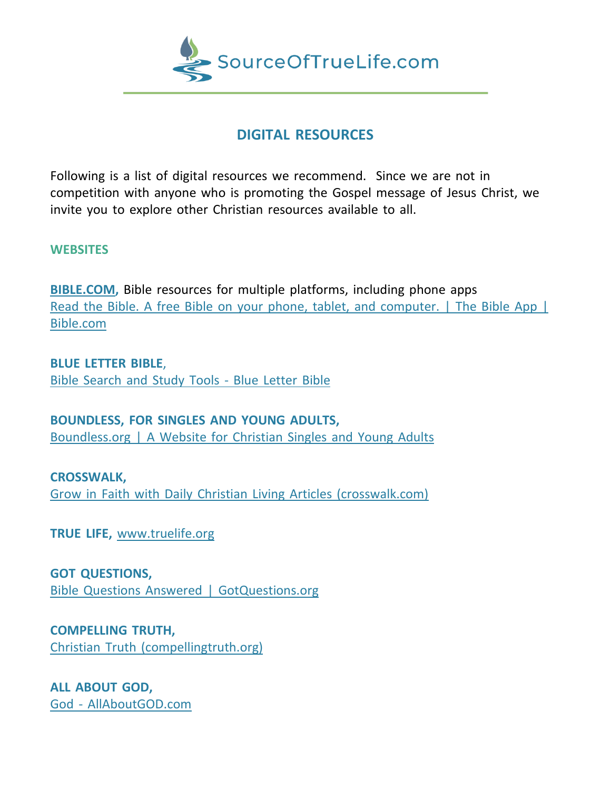

## **DIGITAL RESOURCES**

Following is a list of digital resources we recommend. Since we are not in competition with anyone who is promoting the Gospel message of Jesus Christ, we invite you to explore other Christian resources available to all.

## **WEBSITES**

**BIBLE.COM,** Bible resources for multiple platforms, including phone apps Read the Bible. A free Bible on your phone, tablet, and [computer.](https://www.bible.com/) [|](https://www.bible.com/) The Bible App | [Bible.com](https://www.bible.com/)

**BLUE LETTER BIBLE**, Bible [Search](https://www.blueletterbible.org/) and Study Tools - Blue Letter Bible

**BOUNDLESS, FOR SINGLES AND YOUNG ADULTS,** [Boundless.org](https://www.boundless.org/) | A Website for Christian Singles and Young Adults

**CROSSWALK,** Grow in Faith with Daily Christian Living Articles [\(crosswalk.com\)](https://www.crosswalk.com/)

**TRUE LIFE,** [www.truelife.org](http://www.truelife.org/)

**GOT QUESTIONS,** Bible Questions Answered | [GotQuestions.org](https://www.gotquestions.org/)

**COMPELLING TRUTH,** Christian Truth [\(compellingtruth.org\)](https://www.compellingtruth.org/)

**ALL ABOUT GOD,** God - [AllAboutGOD.com](https://www.allaboutgod.com/)